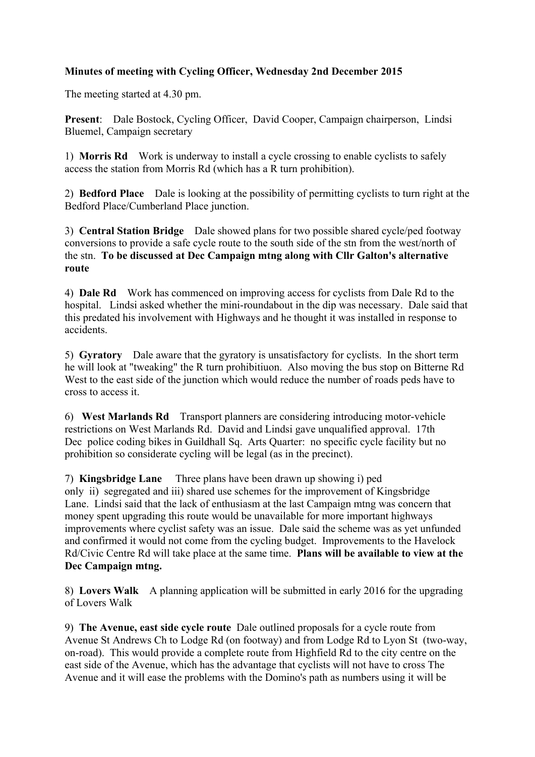## **Minutes of meeting with Cycling Officer, Wednesday 2nd December 2015**

The meeting started at 4.30 pm.

**Present**: Dale Bostock, Cycling Officer, David Cooper, Campaign chairperson, Lindsi Bluemel, Campaign secretary

1) **Morris Rd** Work is underway to install a cycle crossing to enable cyclists to safely access the station from Morris Rd (which has a R turn prohibition).

2) **Bedford Place** Dale is looking at the possibility of permitting cyclists to turn right at the Bedford Place/Cumberland Place junction.

3) **Central Station Bridge** Dale showed plans for two possible shared cycle/ped footway conversions to provide a safe cycle route to the south side of the stn from the west/north of the stn. **To be discussed at Dec Campaign mtng along with Cllr Galton's alternative route** 

4) **Dale Rd** Work has commenced on improving access for cyclists from Dale Rd to the hospital. Lindsi asked whether the mini-roundabout in the dip was necessary. Dale said that this predated his involvement with Highways and he thought it was installed in response to accidents.

5) **Gyratory** Dale aware that the gyratory is unsatisfactory for cyclists. In the short term he will look at "tweaking" the R turn prohibitiuon. Also moving the bus stop on Bitterne Rd West to the east side of the junction which would reduce the number of roads peds have to cross to access it.

6) **West Marlands Rd** Transport planners are considering introducing motor-vehicle restrictions on West Marlands Rd. David and Lindsi gave unqualified approval. 17th Dec police coding bikes in Guildhall Sq. Arts Quarter: no specific cycle facility but no prohibition so considerate cycling will be legal (as in the precinct).

7) **Kingsbridge Lane** Three plans have been drawn up showing i) ped only ii) segregated and iii) shared use schemes for the improvement of Kingsbridge Lane. Lindsi said that the lack of enthusiasm at the last Campaign mtng was concern that money spent upgrading this route would be unavailable for more important highways improvements where cyclist safety was an issue. Dale said the scheme was as yet unfunded and confirmed it would not come from the cycling budget. Improvements to the Havelock Rd/Civic Centre Rd will take place at the same time. **Plans will be available to view at the Dec Campaign mtng.**

8) **Lovers Walk** A planning application will be submitted in early 2016 for the upgrading of Lovers Walk

9) **The Avenue, east side cycle route** Dale outlined proposals for a cycle route from Avenue St Andrews Ch to Lodge Rd (on footway) and from Lodge Rd to Lyon St (two-way, on-road). This would provide a complete route from Highfield Rd to the city centre on the east side of the Avenue, which has the advantage that cyclists will not have to cross The Avenue and it will ease the problems with the Domino's path as numbers using it will be